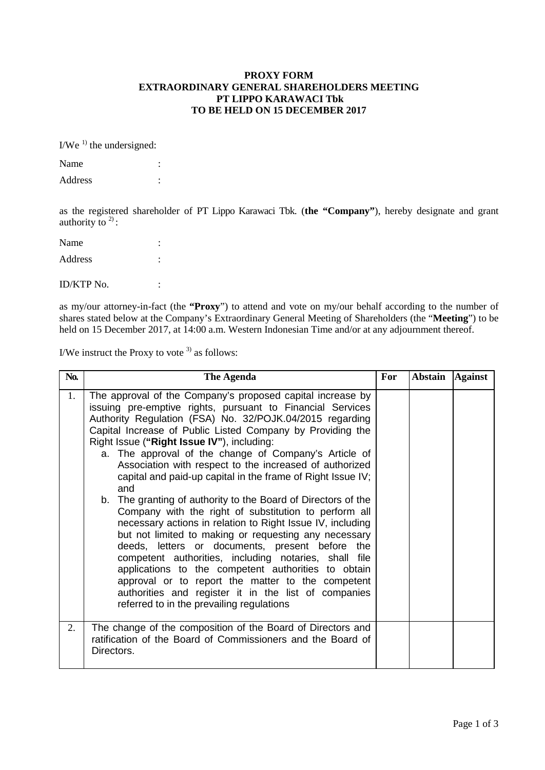## **PROXY FORM EXTRAORDINARY GENERAL SHAREHOLDERS MEETING PT LIPPO KARAWACI Tbk TO BE HELD ON 15 DECEMBER 2017**

 $I/We<sup>1</sup>$  the undersigned:

| Name    |  |
|---------|--|
| Address |  |

as the registered shareholder of PT Lippo Karawaci Tbk. (**the "Company"**), hereby designate and grant authority to  $2$ ):

| Name       |   |
|------------|---|
| Address    |   |
| ID/KTP No. | ٠ |

as my/our attorney-in-fact (the **"Proxy**") to attend and vote on my/our behalf according to the number of shares stated below at the Company's Extraordinary General Meeting of Shareholders (the "**Meeting**") to be held on 15 December 2017, at 14:00 a.m. Western Indonesian Time and/or at any adjournment thereof.

I/We instruct the Proxy to vote  $3$  as follows:

| No. | The Agenda                                                                                                                                                                                                                                                                                                                                                                                                                                                                                                                                                                                                                                                                                                                                                                                                                                                                                                                                                                                                                                                               | For | Abstain Against |  |
|-----|--------------------------------------------------------------------------------------------------------------------------------------------------------------------------------------------------------------------------------------------------------------------------------------------------------------------------------------------------------------------------------------------------------------------------------------------------------------------------------------------------------------------------------------------------------------------------------------------------------------------------------------------------------------------------------------------------------------------------------------------------------------------------------------------------------------------------------------------------------------------------------------------------------------------------------------------------------------------------------------------------------------------------------------------------------------------------|-----|-----------------|--|
| 1.  | The approval of the Company's proposed capital increase by<br>issuing pre-emptive rights, pursuant to Financial Services<br>Authority Regulation (FSA) No. 32/POJK.04/2015 regarding<br>Capital Increase of Public Listed Company by Providing the<br>Right Issue ("Right Issue IV"), including:<br>a. The approval of the change of Company's Article of<br>Association with respect to the increased of authorized<br>capital and paid-up capital in the frame of Right Issue IV;<br>and<br>b. The granting of authority to the Board of Directors of the<br>Company with the right of substitution to perform all<br>necessary actions in relation to Right Issue IV, including<br>but not limited to making or requesting any necessary<br>deeds, letters or documents, present before the<br>competent authorities, including notaries, shall file<br>applications to the competent authorities to obtain<br>approval or to report the matter to the competent<br>authorities and register it in the list of companies<br>referred to in the prevailing regulations |     |                 |  |
| 2.  | The change of the composition of the Board of Directors and<br>ratification of the Board of Commissioners and the Board of<br>Directors.                                                                                                                                                                                                                                                                                                                                                                                                                                                                                                                                                                                                                                                                                                                                                                                                                                                                                                                                 |     |                 |  |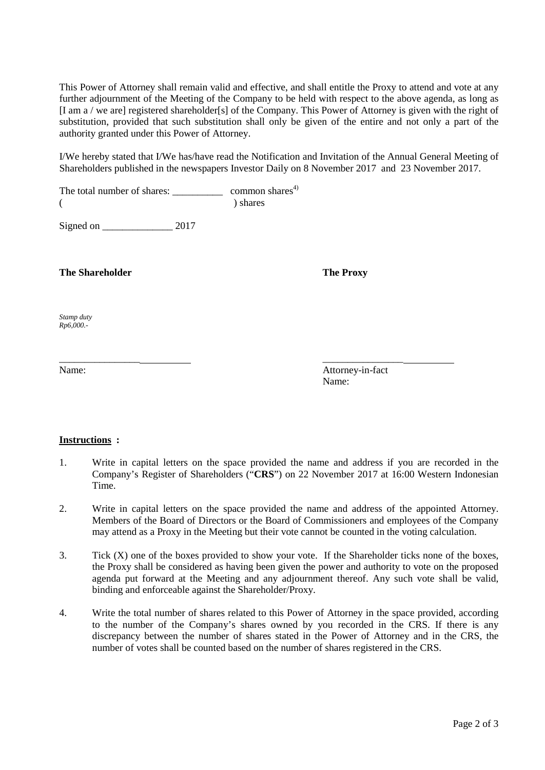This Power of Attorney shall remain valid and effective, and shall entitle the Proxy to attend and vote at any further adjournment of the Meeting of the Company to be held with respect to the above agenda, as long as [I am a / we are] registered shareholder[s] of the Company. This Power of Attorney is given with the right of substitution, provided that such substitution shall only be given of the entire and not only a part of the authority granted under this Power of Attorney.

I/We hereby stated that I/We has/have read the Notification and Invitation of the Annual General Meeting of Shareholders published in the newspapers Investor Daily on 8 November 2017 and 23 November 2017.

The total number of shares: \_\_\_\_\_\_\_\_\_\_\_\_\_ common shares<sup>4)</sup> (a) shares (b) shares

Signed on 2017

## **The Shareholder The Proxy**

*Stamp duty Rp6,000.-*

Name: Attorney-in-fact Name:

## **Instructions :**

1. Write in capital letters on the space provided the name and address if you are recorded in the Company's Register of Shareholders ("**CRS**") on 22 November 2017 at 16:00 Western Indonesian Time.

\_\_\_\_\_\_\_\_\_\_\_\_\_\_\_\_ \_\_\_\_\_\_\_\_\_\_\_\_\_\_\_\_

- 2. Write in capital letters on the space provided the name and address of the appointed Attorney. Members of the Board of Directors or the Board of Commissioners and employees of the Company may attend as a Proxy in the Meeting but their vote cannot be counted in the voting calculation.
- 3. Tick (X) one of the boxes provided to show your vote. If the Shareholder ticks none of the boxes, the Proxy shall be considered as having been given the power and authority to vote on the proposed agenda put forward at the Meeting and any adjournment thereof. Any such vote shall be valid, binding and enforceable against the Shareholder/Proxy.
- 4. Write the total number of shares related to this Power of Attorney in the space provided, according to the number of the Company's shares owned by you recorded in the CRS. If there is any discrepancy between the number of shares stated in the Power of Attorney and in the CRS, the number of votes shall be counted based on the number of shares registered in the CRS.